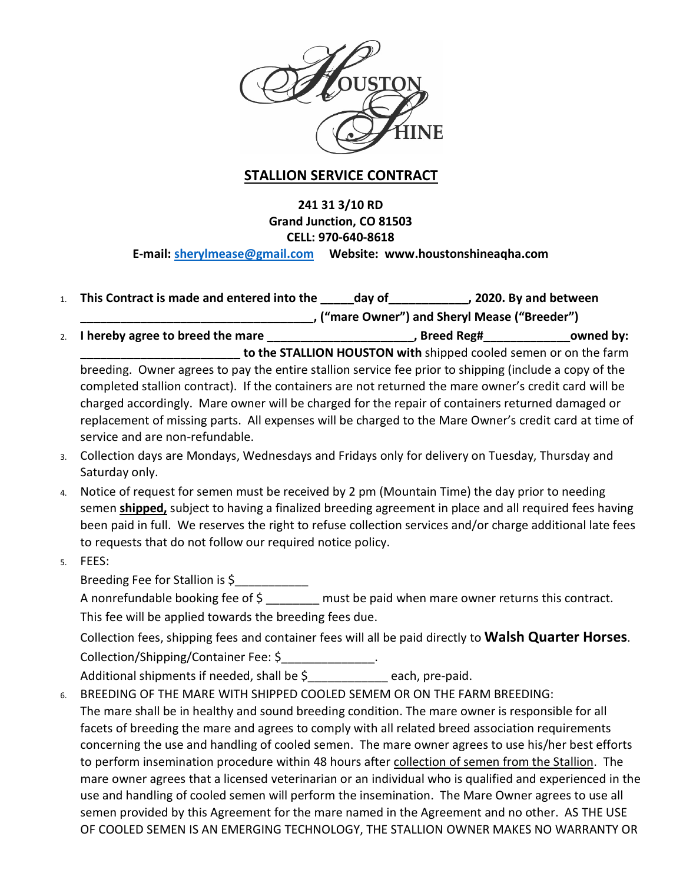

# **STALLION SERVICE CONTRACT**

# **241 31 3/10 RD Grand Junction, CO 81503 CELL: 970-640-8618 E-mail: [sherylmease@gmail.com](mailto:sherylmease@gmail.com) Website: www.houstonshineaqha.com**

| to the STALLION HOUSTON with shipped cooled semen or on the farm<br>breeding. Owner agrees to pay the entire stallion service fee prior to shipping (include a copy of the<br>completed stallion contract). If the containers are not returned the mare owner's credit card will be                                                                                               |  |
|-----------------------------------------------------------------------------------------------------------------------------------------------------------------------------------------------------------------------------------------------------------------------------------------------------------------------------------------------------------------------------------|--|
| charged accordingly. Mare owner will be charged for the repair of containers returned damaged or<br>replacement of missing parts. All expenses will be charged to the Mare Owner's credit card at time of<br>service and are non-refundable.                                                                                                                                      |  |
| Collection days are Mondays, Wednesdays and Fridays only for delivery on Tuesday, Thursday and<br>Saturday only.                                                                                                                                                                                                                                                                  |  |
| Notice of request for semen must be received by 2 pm (Mountain Time) the day prior to needing<br>semen shipped, subject to having a finalized breeding agreement in place and all required fees having<br>been paid in full. We reserves the right to refuse collection services and/or charge additional late fees<br>to requests that do not follow our required notice policy. |  |
| FEES:                                                                                                                                                                                                                                                                                                                                                                             |  |
| Breeding Fee for Stallion is \$                                                                                                                                                                                                                                                                                                                                                   |  |
| A nonrefundable booking fee of $\frac{2}{5}$ must be paid when mare owner returns this contract.                                                                                                                                                                                                                                                                                  |  |
| This fee will be applied towards the breeding fees due.                                                                                                                                                                                                                                                                                                                           |  |
| Collection fees, shipping fees and container fees will all be paid directly to Walsh Quarter Horses.                                                                                                                                                                                                                                                                              |  |
| Collection/Shipping/Container Fee: \$_______________.                                                                                                                                                                                                                                                                                                                             |  |
| Additional shipments if needed, shall be \$____________ each, pre-paid.                                                                                                                                                                                                                                                                                                           |  |
| BREEDING OF THE MARE WITH SHIPPED COOLED SEMEM OR ON THE FARM BREEDING:                                                                                                                                                                                                                                                                                                           |  |
| The mare shall be in healthy and sound breeding condition. The mare owner is responsible for all                                                                                                                                                                                                                                                                                  |  |
| facets of breeding the mare and agrees to comply with all related breed association requirements                                                                                                                                                                                                                                                                                  |  |
| concerning the use and handling of cooled semen. The mare owner agrees to use his/her best efforts                                                                                                                                                                                                                                                                                |  |
| to perform insemination procedure within 48 hours after collection of semen from the Stallion. The                                                                                                                                                                                                                                                                                |  |
| mare owner agrees that a licensed veterinarian or an individual who is qualified and experienced in the                                                                                                                                                                                                                                                                           |  |
| use and handling of cooled semen will perform the insemination. The Mare Owner agrees to use all<br>semen provided by this Agreement for the mare named in the Agreement and no other. AS THE USE                                                                                                                                                                                 |  |
| OF COOLED SEMEN IS AN EMERGING TECHNOLOGY, THE STALLION OWNER MAKES NO WARRANTY OR                                                                                                                                                                                                                                                                                                |  |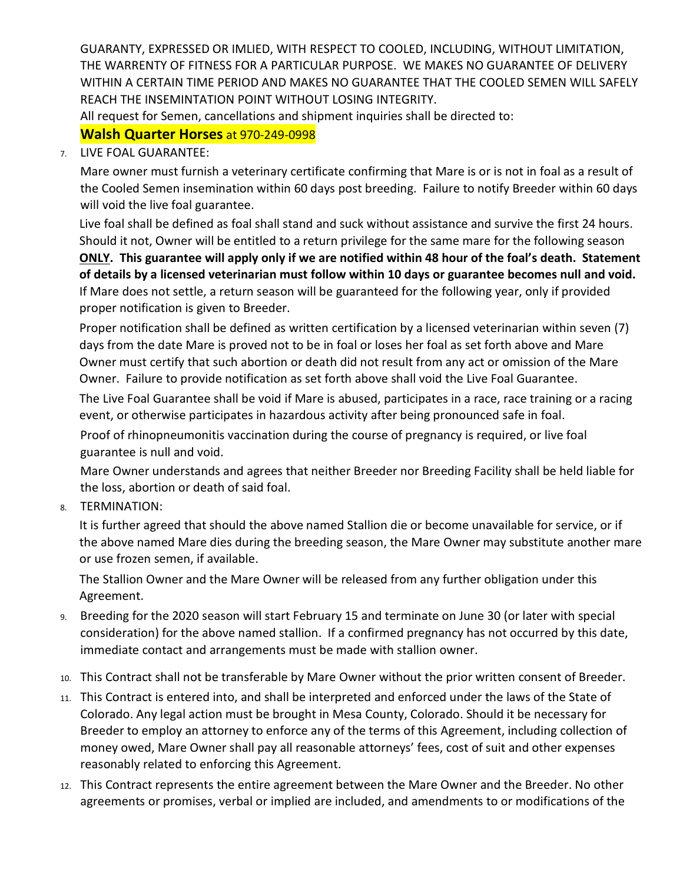GUARANTY, EXPRESSED OR IMLIED, WITH RESPECT TO COOLED, INCLUDING, WITHOUT LIMITATION, THE WARRENTY OF FITNESS FOR A PARTICULAR PURPOSE. WE MAKES NO GUARANTEE OF DELIVERY WITHIN A CERTAIN TIME PERIOD AND MAKES NO GUARANTEE THAT THE COOLED SEMEN WILL SAFELY REACH THE INSEMINTATION POINT WITHOUT LOSING INTEGRITY.

All request for Semen, cancellations and shipment inquiries shall be directed to:

# **Walsh Quarter Horses** at 970-249-0998

### 7. LIVE FOAL GUARANTEE:

Mare owner must furnish a veterinary certificate confirming that Mare is or is not in foal as a result of the Cooled Semen insemination within 60 days post breeding. Failure to notify Breeder within 60 days will void the live foal guarantee.

Live foal shall be defined as foal shall stand and suck without assistance and survive the first 24 hours. Should it not, Owner will be entitled to a return privilege for the same mare for the following season **ONLY. This guarantee will apply only if we are notified within 48 hour of the foal's death. Statement of details by a licensed veterinarian must follow within 10 days or guarantee becomes null and void.**  If Mare does not settle, a return season will be guaranteed for the following year, only if provided proper notification is given to Breeder.

Proper notification shall be defined as written certification by a licensed veterinarian within seven (7) days from the date Mare is proved not to be in foal or loses her foal as set forth above and Mare Owner must certify that such abortion or death did not result from any act or omission of the Mare Owner. Failure to provide notification as set forth above shall void the Live Foal Guarantee.

The Live Foal Guarantee shall be void if Mare is abused, participates in a race, race training or a racing event, or otherwise participates in hazardous activity after being pronounced safe in foal.

Proof of rhinopneumonitis vaccination during the course of pregnancy is required, or live foal guarantee is null and void.

Mare Owner understands and agrees that neither Breeder nor Breeding Facility shall be held liable for the loss, abortion or death of said foal.

8. TERMINATION:

It is further agreed that should the above named Stallion die or become unavailable for service, or if the above named Mare dies during the breeding season, the Mare Owner may substitute another mare or use frozen semen, if available.

The Stallion Owner and the Mare Owner will be released from any further obligation under this Agreement.

- 9. Breeding for the 2020 season will start February 15 and terminate on June 30 (or later with special consideration) for the above named stallion. If a confirmed pregnancy has not occurred by this date, immediate contact and arrangements must be made with stallion owner.
- 10. This Contract shall not be transferable by Mare Owner without the prior written consent of Breeder.
- 11. This Contract is entered into, and shall be interpreted and enforced under the laws of the State of Colorado. Any legal action must be brought in Mesa County, Colorado. Should it be necessary for Breeder to employ an attorney to enforce any of the terms of this Agreement, including collection of money owed, Mare Owner shall pay all reasonable attorneys' fees, cost of suit and other expenses reasonably related to enforcing this Agreement.
- 12. This Contract represents the entire agreement between the Mare Owner and the Breeder. No other agreements or promises, verbal or implied are included, and amendments to or modifications of the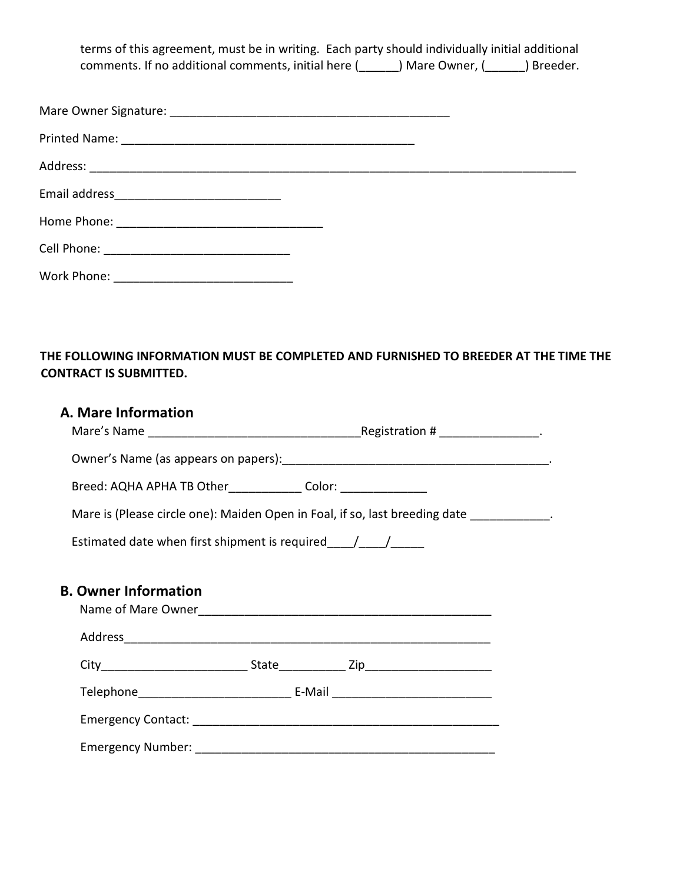terms of this agreement, must be in writing. Each party should individually initial additional comments. If no additional comments, initial here (\_\_\_\_\_\_) Mare Owner, (\_\_\_\_\_\_) Breeder.

### **THE FOLLOWING INFORMATION MUST BE COMPLETED AND FURNISHED TO BREEDER AT THE TIME THE CONTRACT IS SUBMITTED.**

# **A. Mare Information**

| Mare's Name | Registration # |  |
|-------------|----------------|--|
|-------------|----------------|--|

Owner's Name (as appears on papers):\_\_\_\_\_\_\_\_\_\_\_\_\_\_\_\_\_\_\_\_\_\_\_\_\_\_\_\_\_\_\_\_\_\_\_\_\_\_\_\_.

Breed: AQHA APHA TB Other\_\_\_\_\_\_\_\_\_\_\_\_\_\_ Color: \_\_\_\_\_\_\_\_\_\_\_\_\_\_\_\_\_\_\_\_\_\_\_\_\_\_\_\_\_\_\_\_\_

Mare is (Please circle one): Maiden Open in Foal, if so, last breeding date \_\_\_\_\_\_\_\_\_\_\_\_.

Estimated date when first shipment is required\_\_\_\_/\_\_\_\_/\_\_\_\_\_

## **B. Owner Information**

| Name of Mare Owner       |                    |                                     |  |
|--------------------------|--------------------|-------------------------------------|--|
| Address                  |                    |                                     |  |
| City                     | <b>State State</b> | Zip_____________________            |  |
|                          |                    | E-Mail ____________________________ |  |
|                          |                    |                                     |  |
| <b>Emergency Number:</b> |                    |                                     |  |